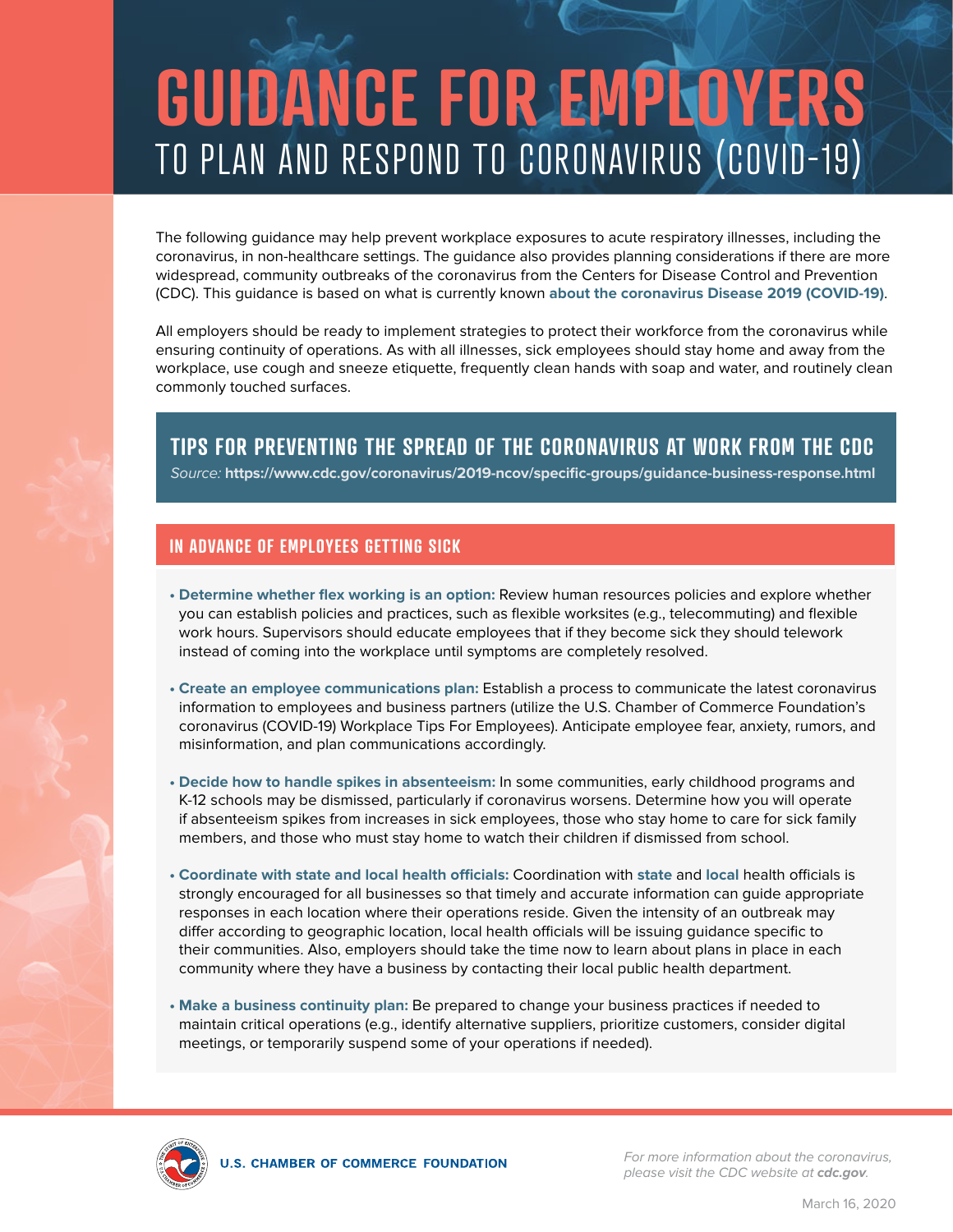## **GUIDANCE FOR EMPLOYERS**  TO PLAN AND RESPOND TO CORONAVIRUS (COVID-19)

The following guidance may help prevent workplace exposures to acute respiratory illnesses, including the coronavirus, in non-healthcare settings. The guidance also provides planning considerations if there are more widespread, community outbreaks of the coronavirus from the Centers for Disease Control and Prevention (CDC). This guidance is based on what is currently known **[about the coronavirus Disease 2019 \(COVID-19\)](https://www.cdc.gov/coronavirus/2019-ncov/about/index.html)**.

All employers should be ready to implement strategies to protect their workforce from the coronavirus while ensuring continuity of operations. As with all illnesses, sick employees should stay home and away from the workplace, use cough and sneeze etiquette, frequently clean hands with soap and water, and routinely clean commonly touched surfaces.

**TIPS FOR PREVENTING THE SPREAD OF THE CORONAVIRUS AT WORK FROM THE CDC**

Source: **https://www.cdc.gov/coronavirus/2019-ncov/specific-groups/guidance-business-response.html**

## **IN ADVANCE OF EMPLOYEES GETTING SICK**

- **Determine whether flex working is an option:** Review human resources policies and explore whether you can establish policies and practices, such as flexible worksites (e.g., telecommuting) and flexible work hours. Supervisors should educate employees that if they become sick they should telework instead of coming into the workplace until symptoms are completely resolved.
- **Create an employee communications plan:** Establish a process to communicate the latest coronavirus information to employees and business partners (utilize the U.S. Chamber of Commerce Foundation's coronavirus (COVID-19) Workplace Tips For Employees). Anticipate employee fear, anxiety, rumors, and misinformation, and plan communications accordingly.
- **Decide how to handle spikes in absenteeism:** In some communities, early childhood programs and K-12 schools may be dismissed, particularly if coronavirus worsens. Determine how you will operate if absenteeism spikes from increases in sick employees, those who stay home to care for sick family members, and those who must stay home to watch their children if dismissed from school.
- **Coordinate with state and local health officials:** Coordination with **[state](https://www.cste.org/page/EpiOnCall)** and **[local](https://www.naccho.org/membership/lhd-directory)** health officials is strongly encouraged for all businesses so that timely and accurate information can guide appropriate responses in each location where their operations reside. Given the intensity of an outbreak may differ according to geographic location, local health officials will be issuing guidance specific to their communities. Also, employers should take the time now to learn about plans in place in each community where they have a business by contacting their local public health department.
- **Make a business continuity plan:** Be prepared to change your business practices if needed to maintain critical operations (e.g., identify alternative suppliers, prioritize customers, consider digital meetings, or temporarily suspend some of your operations if needed).